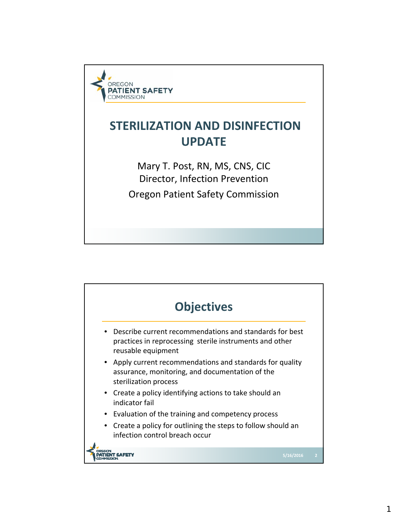

## **STERILIZATION AND DISINFECTION UPDATE**

Mary T. Post, RN, MS, CNS, CIC Director, Infection Prevention Oregon Patient Safety Commission

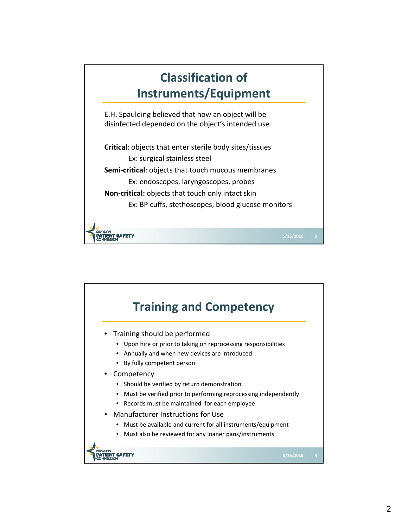

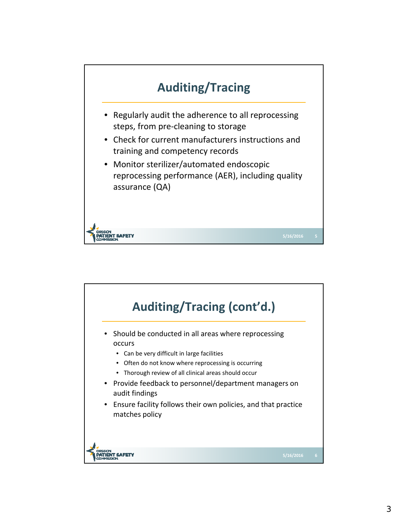

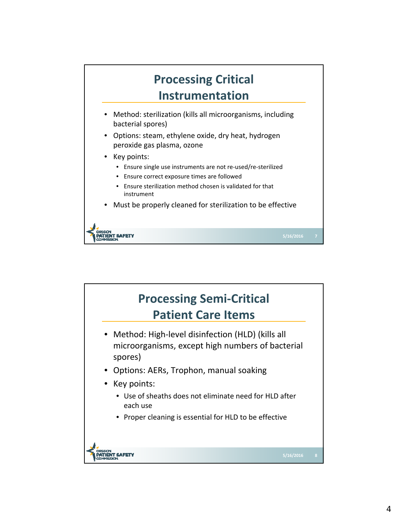

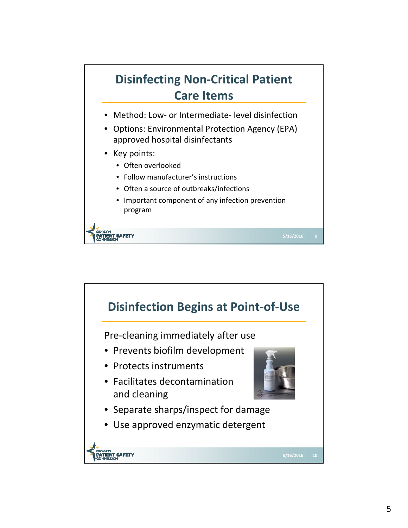## **Disinfecting Non‐Critical Patient Care Items** • Method: Low‐ or Intermediate‐ level disinfection

- Options: Environmental Protection Agency (EPA) approved hospital disinfectants
- Key points:

**IENT SAFETY** 

- Often overlooked
- Follow manufacturer's instructions
- Often a source of outbreaks/infections
- Important component of any infection prevention program

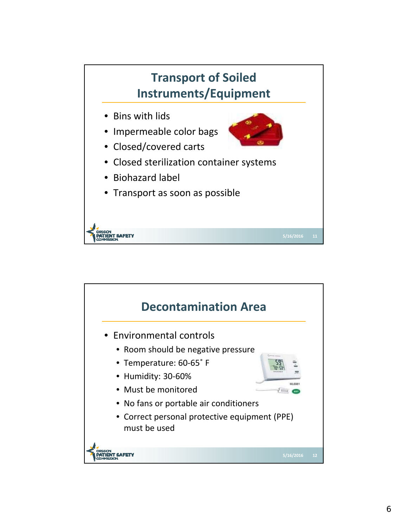

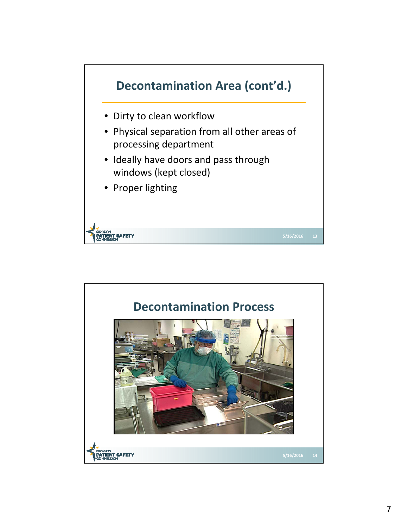

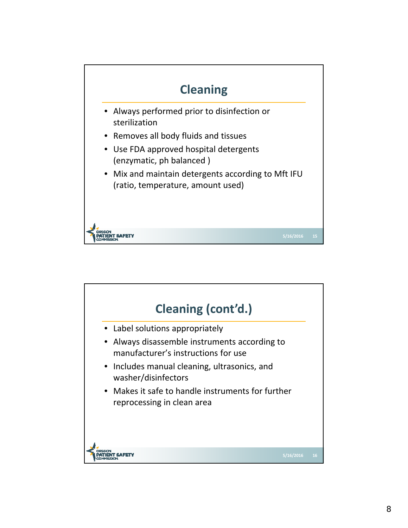

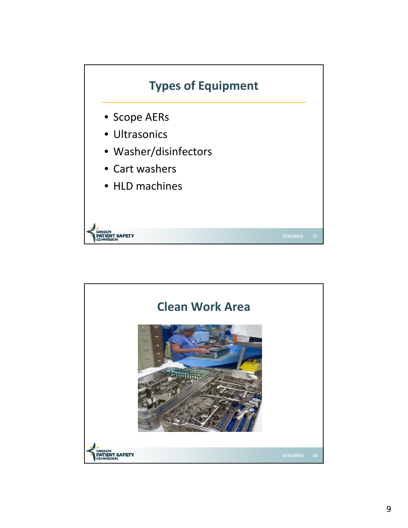

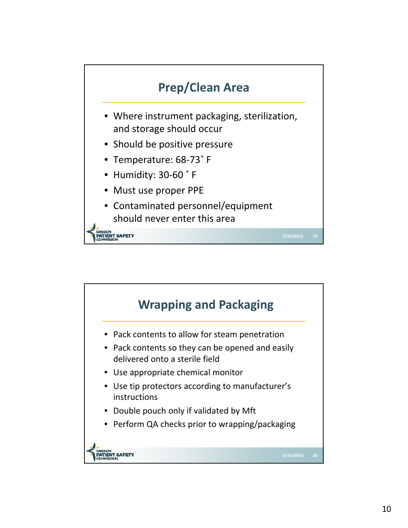

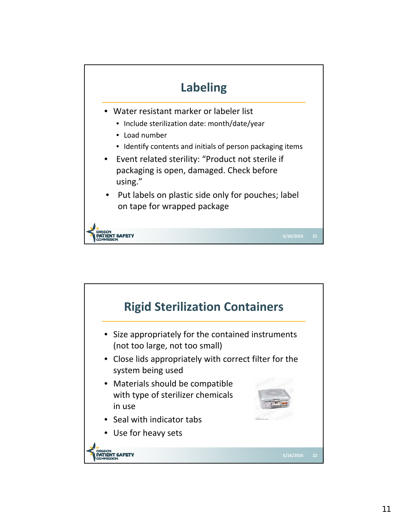

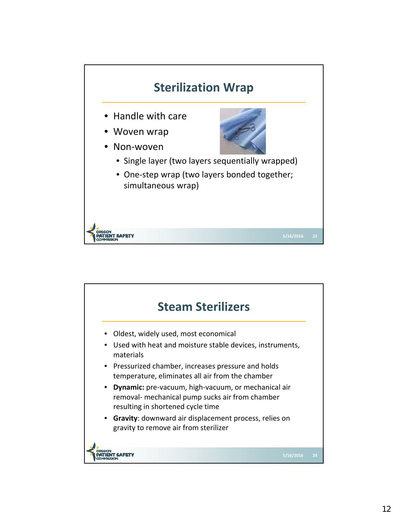

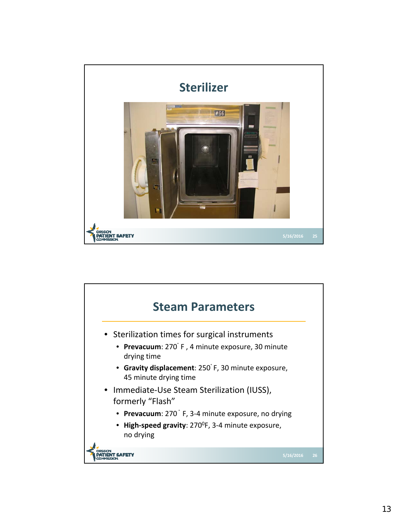

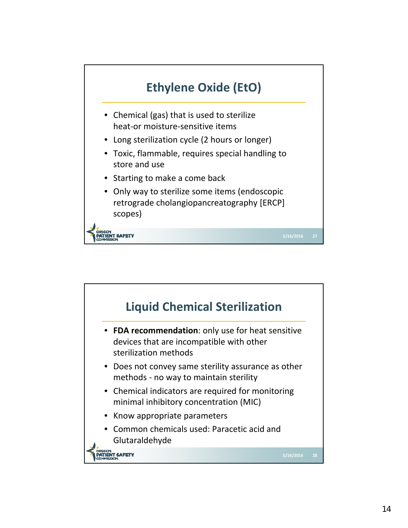

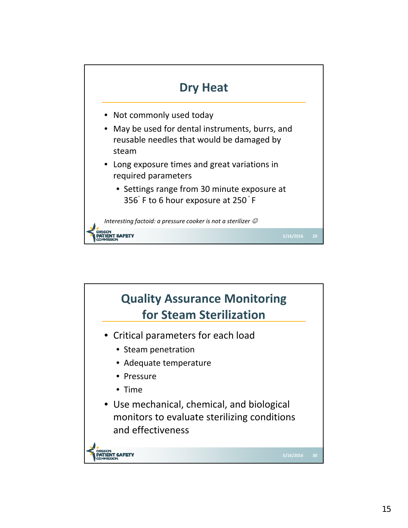

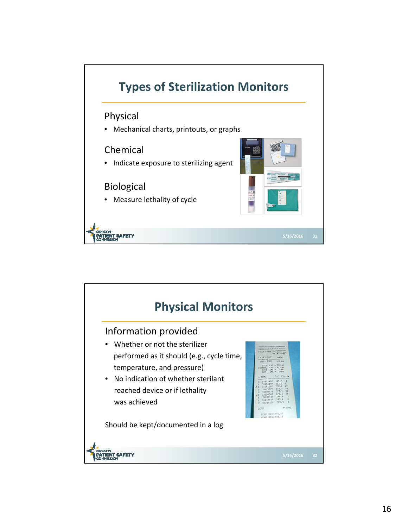

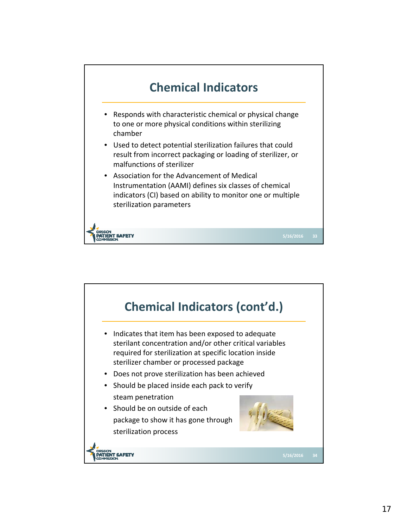

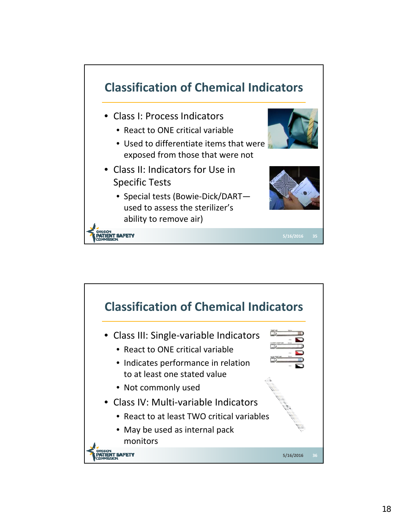

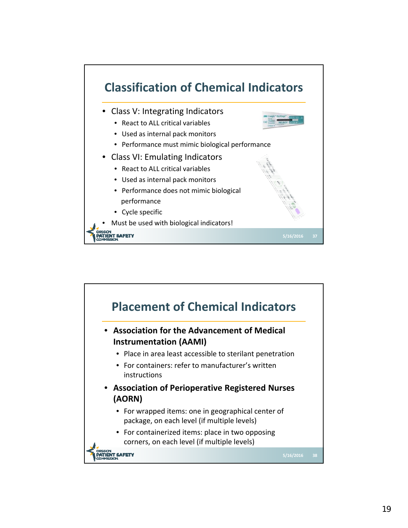

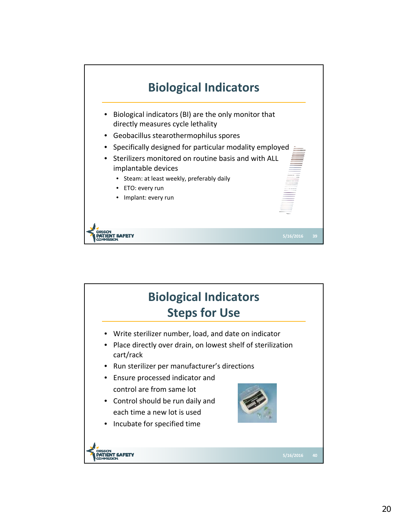

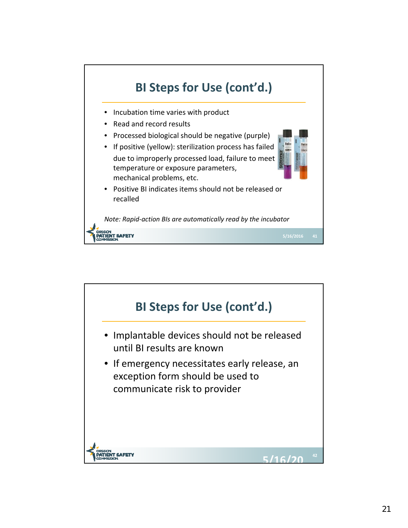

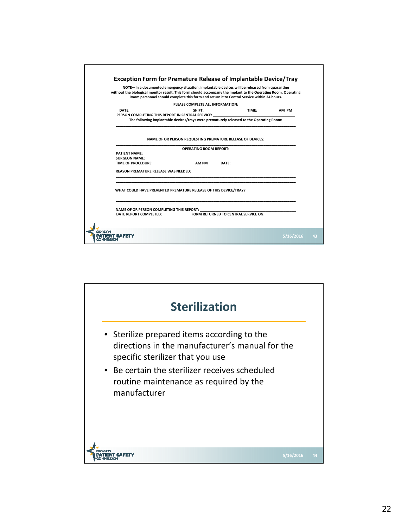

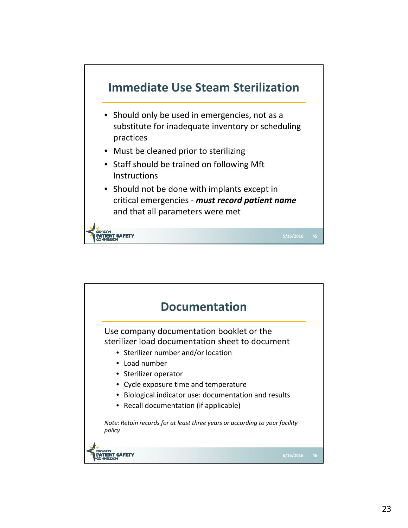

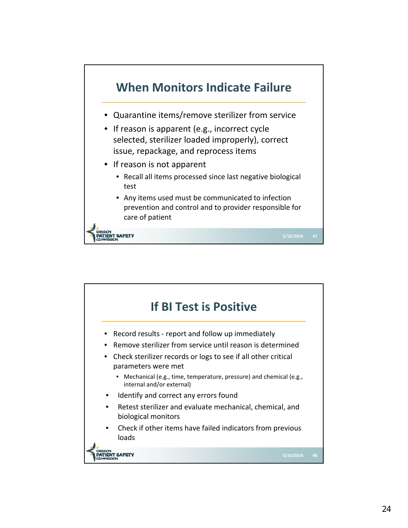

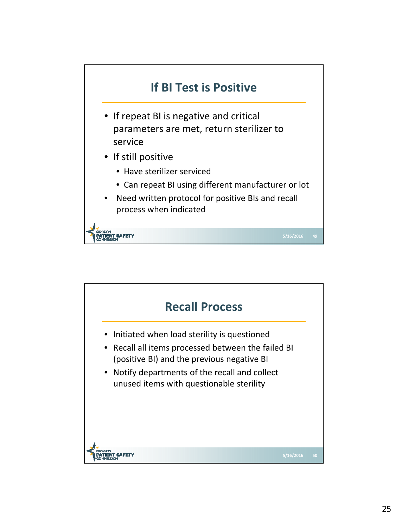

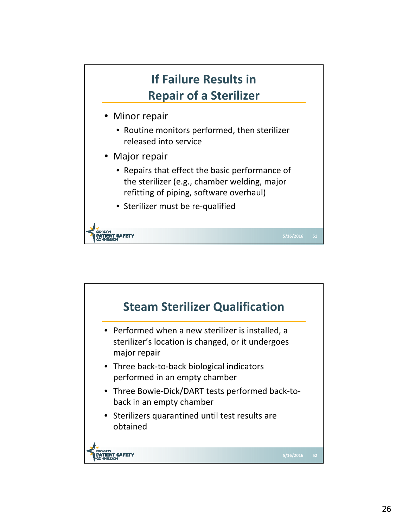

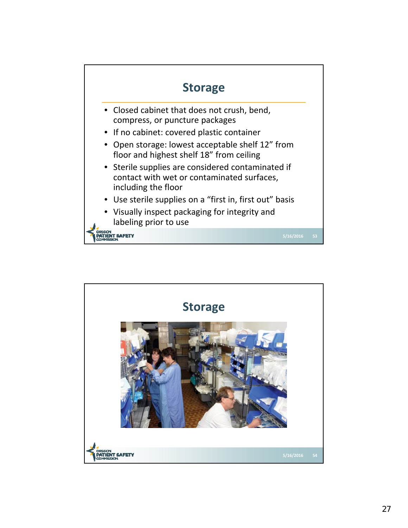

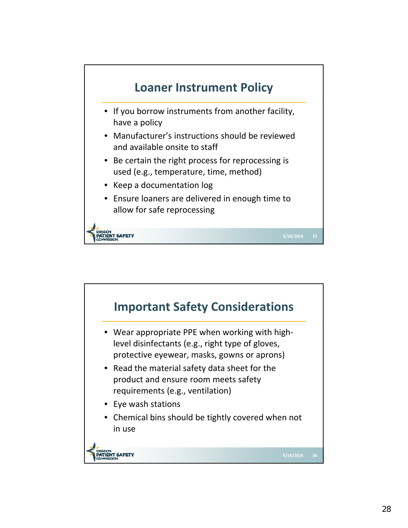

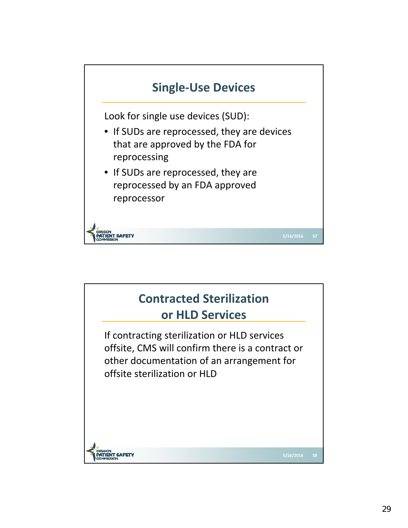

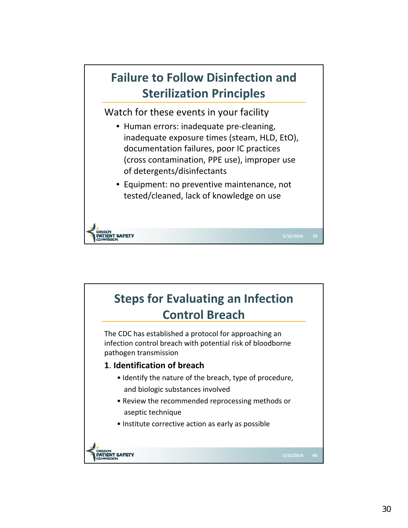

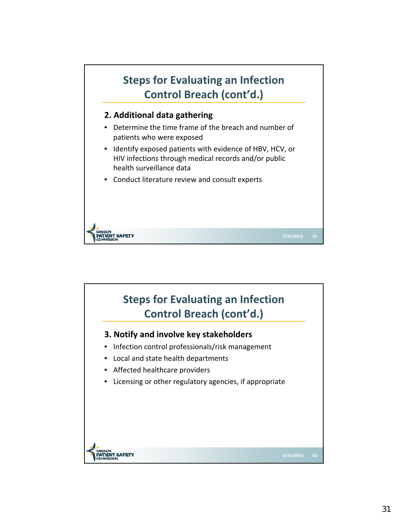

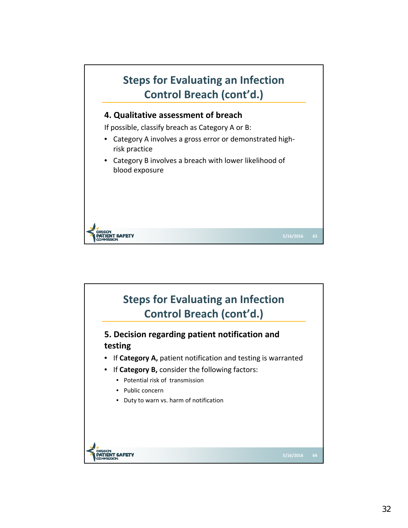

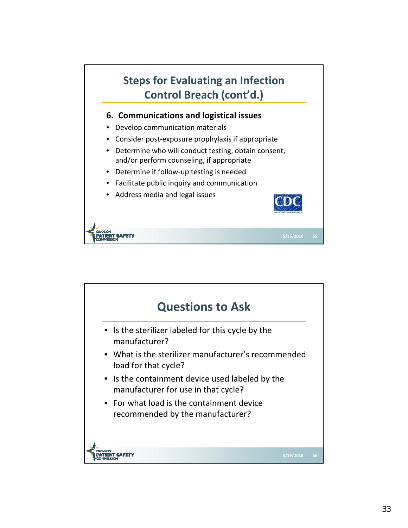

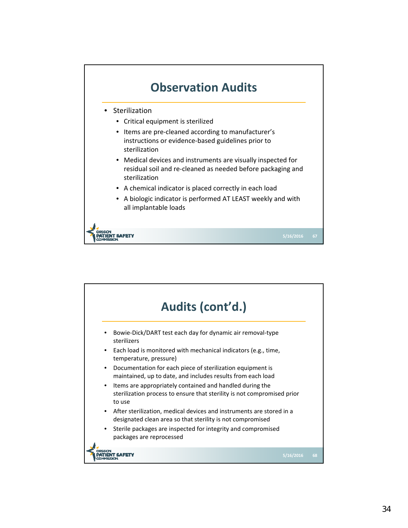

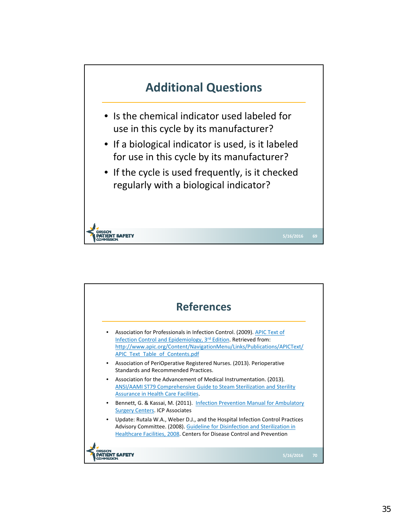